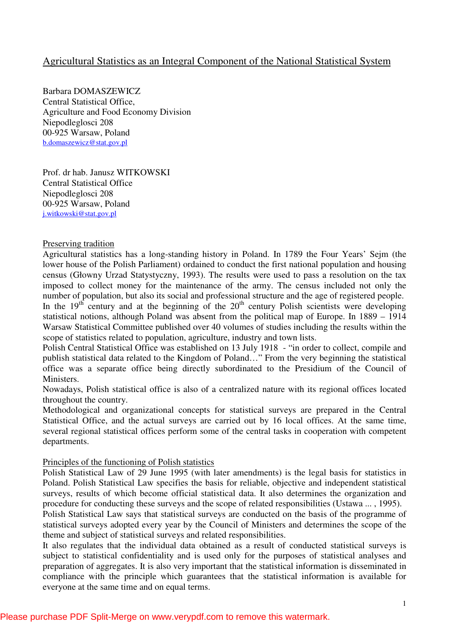# Agricultural Statistics as an Integral Component of the National Statistical System

Barbara DOMASZEWICZ Central Statistical Office, Agriculture and Food Economy Division Niepodleglosci 208 00-925 Warsaw, Poland b.domaszewicz@stat.gov.pl

Prof. dr hab. Janusz WITKOWSKI Central Statistical Office Niepodleglosci 208 00-925 Warsaw, Poland j.witkowski@stat.gov.pl

## Preserving tradition

Agricultural statistics has a long-standing history in Poland. In 1789 the Four Years' Sejm (the lower house of the Polish Parliament) ordained to conduct the first national population and housing census (Głowny Urzad Statystyczny, 1993). The results were used to pass a resolution on the tax imposed to collect money for the maintenance of the army. The census included not only the number of population, but also its social and professional structure and the age of registered people.

In the  $19<sup>th</sup>$  century and at the beginning of the  $20<sup>th</sup>$  century Polish scientists were developing statistical notions, although Poland was absent from the political map of Europe. In 1889 – 1914 Warsaw Statistical Committee published over 40 volumes of studies including the results within the scope of statistics related to population, agriculture, industry and town lists.

Polish Central Statistical Office was established on 13 July 1918 - "in order to collect, compile and publish statistical data related to the Kingdom of Poland…" From the very beginning the statistical office was a separate office being directly subordinated to the Presidium of the Council of Ministers.

Nowadays, Polish statistical office is also of a centralized nature with its regional offices located throughout the country.

Methodological and organizational concepts for statistical surveys are prepared in the Central Statistical Office, and the actual surveys are carried out by 16 local offices. At the same time, several regional statistical offices perform some of the central tasks in cooperation with competent departments.

#### Principles of the functioning of Polish statistics

Polish Statistical Law of 29 June 1995 (with later amendments) is the legal basis for statistics in Poland. Polish Statistical Law specifies the basis for reliable, objective and independent statistical surveys, results of which become official statistical data. It also determines the organization and procedure for conducting these surveys and the scope of related responsibilities (Ustawa ... , 1995).

Polish Statistical Law says that statistical surveys are conducted on the basis of the programme of statistical surveys adopted every year by the Council of Ministers and determines the scope of the theme and subject of statistical surveys and related responsibilities.

It also regulates that the individual data obtained as a result of conducted statistical surveys is subject to statistical confidentiality and is used only for the purposes of statistical analyses and preparation of aggregates. It is also very important that the statistical information is disseminated in compliance with the principle which guarantees that the statistical information is available for everyone at the same time and on equal terms.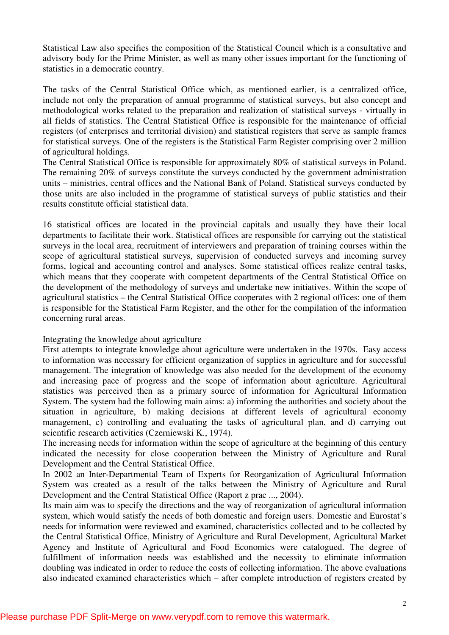Statistical Law also specifies the composition of the Statistical Council which is a consultative and advisory body for the Prime Minister, as well as many other issues important for the functioning of statistics in a democratic country.

The tasks of the Central Statistical Office which, as mentioned earlier, is a centralized office, include not only the preparation of annual programme of statistical surveys, but also concept and methodological works related to the preparation and realization of statistical surveys - virtually in all fields of statistics. The Central Statistical Office is responsible for the maintenance of official registers (of enterprises and territorial division) and statistical registers that serve as sample frames for statistical surveys. One of the registers is the Statistical Farm Register comprising over 2 million of agricultural holdings.

The Central Statistical Office is responsible for approximately 80% of statistical surveys in Poland. The remaining 20% of surveys constitute the surveys conducted by the government administration units – ministries, central offices and the National Bank of Poland. Statistical surveys conducted by those units are also included in the programme of statistical surveys of public statistics and their results constitute official statistical data.

16 statistical offices are located in the provincial capitals and usually they have their local departments to facilitate their work. Statistical offices are responsible for carrying out the statistical surveys in the local area, recruitment of interviewers and preparation of training courses within the scope of agricultural statistical surveys, supervision of conducted surveys and incoming survey forms, logical and accounting control and analyses. Some statistical offices realize central tasks, which means that they cooperate with competent departments of the Central Statistical Office on the development of the methodology of surveys and undertake new initiatives. Within the scope of agricultural statistics – the Central Statistical Office cooperates with 2 regional offices: one of them is responsible for the Statistical Farm Register, and the other for the compilation of the information concerning rural areas.

# Integrating the knowledge about agriculture

First attempts to integrate knowledge about agriculture were undertaken in the 1970s. Easy access to information was necessary for efficient organization of supplies in agriculture and for successful management. The integration of knowledge was also needed for the development of the economy and increasing pace of progress and the scope of information about agriculture. Agricultural statistics was perceived then as a primary source of information for Agricultural Information System. The system had the following main aims: a) informing the authorities and society about the situation in agriculture, b) making decisions at different levels of agricultural economy management, c) controlling and evaluating the tasks of agricultural plan, and d) carrying out scientific research activities (Czerniewski K., 1974).

The increasing needs for information within the scope of agriculture at the beginning of this century indicated the necessity for close cooperation between the Ministry of Agriculture and Rural Development and the Central Statistical Office.

In 2002 an Inter-Departmental Team of Experts for Reorganization of Agricultural Information System was created as a result of the talks between the Ministry of Agriculture and Rural Development and the Central Statistical Office (Raport z prac ..., 2004).

Its main aim was to specify the directions and the way of reorganization of agricultural information system, which would satisfy the needs of both domestic and foreign users. Domestic and Eurostat's needs for information were reviewed and examined, characteristics collected and to be collected by the Central Statistical Office, Ministry of Agriculture and Rural Development, Agricultural Market Agency and Institute of Agricultural and Food Economics were catalogued. The degree of fulfillment of information needs was established and the necessity to eliminate information doubling was indicated in order to reduce the costs of collecting information. The above evaluations also indicated examined characteristics which – after complete introduction of registers created by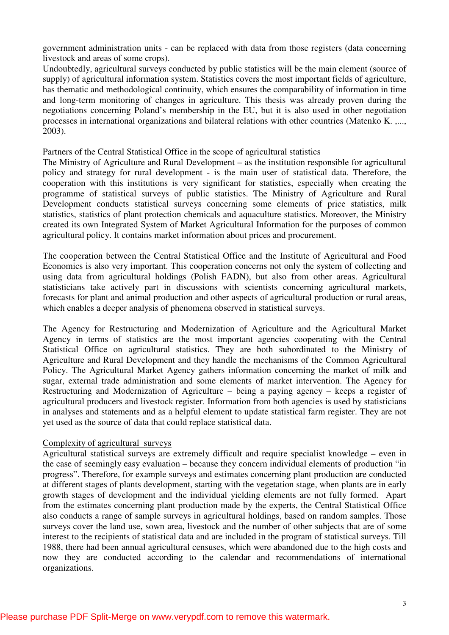government administration units - can be replaced with data from those registers (data concerning livestock and areas of some crops).

Undoubtedly, agricultural surveys conducted by public statistics will be the main element (source of supply) of agricultural information system. Statistics covers the most important fields of agriculture, has thematic and methodological continuity, which ensures the comparability of information in time and long-term monitoring of changes in agriculture. This thesis was already proven during the negotiations concerning Poland's membership in the EU, but it is also used in other negotiation processes in international organizations and bilateral relations with other countries (Matenko K. ,..., 2003).

## Partners of the Central Statistical Office in the scope of agricultural statistics

The Ministry of Agriculture and Rural Development – as the institution responsible for agricultural policy and strategy for rural development - is the main user of statistical data. Therefore, the cooperation with this institutions is very significant for statistics, especially when creating the programme of statistical surveys of public statistics. The Ministry of Agriculture and Rural Development conducts statistical surveys concerning some elements of price statistics, milk statistics, statistics of plant protection chemicals and aquaculture statistics. Moreover, the Ministry created its own Integrated System of Market Agricultural Information for the purposes of common agricultural policy. It contains market information about prices and procurement.

The cooperation between the Central Statistical Office and the Institute of Agricultural and Food Economics is also very important. This cooperation concerns not only the system of collecting and using data from agricultural holdings (Polish FADN), but also from other areas. Agricultural statisticians take actively part in discussions with scientists concerning agricultural markets, forecasts for plant and animal production and other aspects of agricultural production or rural areas, which enables a deeper analysis of phenomena observed in statistical surveys.

The Agency for Restructuring and Modernization of Agriculture and the Agricultural Market Agency in terms of statistics are the most important agencies cooperating with the Central Statistical Office on agricultural statistics. They are both subordinated to the Ministry of Agriculture and Rural Development and they handle the mechanisms of the Common Agricultural Policy. The Agricultural Market Agency gathers information concerning the market of milk and sugar, external trade administration and some elements of market intervention. The Agency for Restructuring and Modernization of Agriculture – being a paying agency – keeps a register of agricultural producers and livestock register. Information from both agencies is used by statisticians in analyses and statements and as a helpful element to update statistical farm register. They are not yet used as the source of data that could replace statistical data.

# Complexity of agricultural surveys

Agricultural statistical surveys are extremely difficult and require specialist knowledge – even in the case of seemingly easy evaluation – because they concern individual elements of production "in progress". Therefore, for example surveys and estimates concerning plant production are conducted at different stages of plants development, starting with the vegetation stage, when plants are in early growth stages of development and the individual yielding elements are not fully formed. Apart from the estimates concerning plant production made by the experts, the Central Statistical Office also conducts a range of sample surveys in agricultural holdings, based on random samples. Those surveys cover the land use, sown area, livestock and the number of other subjects that are of some interest to the recipients of statistical data and are included in the program of statistical surveys. Till 1988, there had been annual agricultural censuses, which were abandoned due to the high costs and now they are conducted according to the calendar and recommendations of international organizations.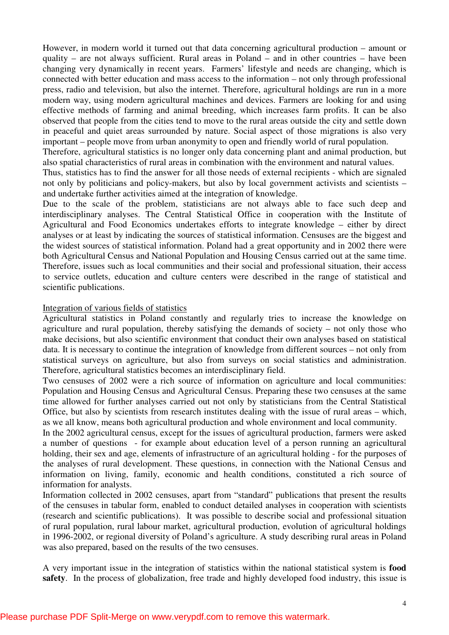However, in modern world it turned out that data concerning agricultural production – amount or quality – are not always sufficient. Rural areas in Poland – and in other countries – have been changing very dynamically in recent years. Farmers' lifestyle and needs are changing, which is connected with better education and mass access to the information – not only through professional press, radio and television, but also the internet. Therefore, agricultural holdings are run in a more modern way, using modern agricultural machines and devices. Farmers are looking for and using effective methods of farming and animal breeding, which increases farm profits. It can be also observed that people from the cities tend to move to the rural areas outside the city and settle down in peaceful and quiet areas surrounded by nature. Social aspect of those migrations is also very important – people move from urban anonymity to open and friendly world of rural population.

Therefore, agricultural statistics is no longer only data concerning plant and animal production, but also spatial characteristics of rural areas in combination with the environment and natural values.

Thus, statistics has to find the answer for all those needs of external recipients - which are signaled not only by politicians and policy-makers, but also by local government activists and scientists – and undertake further activities aimed at the integration of knowledge.

Due to the scale of the problem, statisticians are not always able to face such deep and interdisciplinary analyses. The Central Statistical Office in cooperation with the Institute of Agricultural and Food Economics undertakes efforts to integrate knowledge – either by direct analyses or at least by indicating the sources of statistical information. Censuses are the biggest and the widest sources of statistical information. Poland had a great opportunity and in 2002 there were both Agricultural Census and National Population and Housing Census carried out at the same time. Therefore, issues such as local communities and their social and professional situation, their access to service outlets, education and culture centers were described in the range of statistical and scientific publications.

#### Integration of various fields of statistics

Agricultural statistics in Poland constantly and regularly tries to increase the knowledge on agriculture and rural population, thereby satisfying the demands of society – not only those who make decisions, but also scientific environment that conduct their own analyses based on statistical data. It is necessary to continue the integration of knowledge from different sources – not only from statistical surveys on agriculture, but also from surveys on social statistics and administration. Therefore, agricultural statistics becomes an interdisciplinary field.

Two censuses of 2002 were a rich source of information on agriculture and local communities: Population and Housing Census and Agricultural Census. Preparing these two censuses at the same time allowed for further analyses carried out not only by statisticians from the Central Statistical Office, but also by scientists from research institutes dealing with the issue of rural areas – which, as we all know, means both agricultural production and whole environment and local community.

In the 2002 agricultural census, except for the issues of agricultural production, farmers were asked a number of questions - for example about education level of a person running an agricultural holding, their sex and age, elements of infrastructure of an agricultural holding - for the purposes of the analyses of rural development. These questions, in connection with the National Census and information on living, family, economic and health conditions, constituted a rich source of information for analysts.

Information collected in 2002 censuses, apart from "standard" publications that present the results of the censuses in tabular form, enabled to conduct detailed analyses in cooperation with scientists (research and scientific publications). It was possible to describe social and professional situation of rural population, rural labour market, agricultural production, evolution of agricultural holdings in 1996-2002, or regional diversity of Poland's agriculture. A study describing rural areas in Poland was also prepared, based on the results of the two censuses.

A very important issue in the integration of statistics within the national statistical system is **food safety**. In the process of globalization, free trade and highly developed food industry, this issue is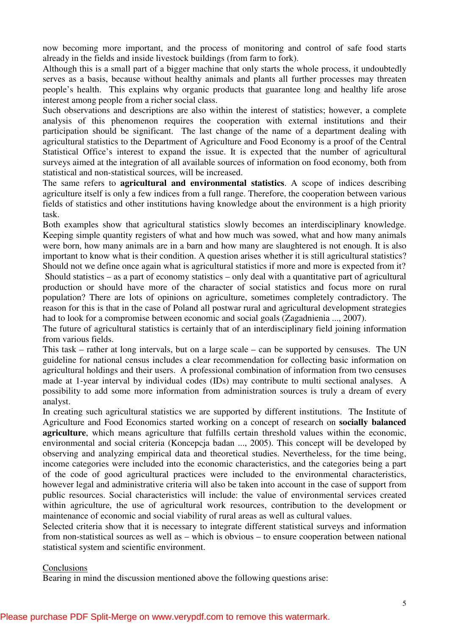now becoming more important, and the process of monitoring and control of safe food starts already in the fields and inside livestock buildings (from farm to fork).

Although this is a small part of a bigger machine that only starts the whole process, it undoubtedly serves as a basis, because without healthy animals and plants all further processes may threaten people's health. This explains why organic products that guarantee long and healthy life arose interest among people from a richer social class.

Such observations and descriptions are also within the interest of statistics; however, a complete analysis of this phenomenon requires the cooperation with external institutions and their participation should be significant. The last change of the name of a department dealing with agricultural statistics to the Department of Agriculture and Food Economy is a proof of the Central Statistical Office's interest to expand the issue. It is expected that the number of agricultural surveys aimed at the integration of all available sources of information on food economy, both from statistical and non-statistical sources, will be increased.

The same refers to **agricultural and environmental statistics**. A scope of indices describing agriculture itself is only a few indices from a full range. Therefore, the cooperation between various fields of statistics and other institutions having knowledge about the environment is a high priority task.

Both examples show that agricultural statistics slowly becomes an interdisciplinary knowledge. Keeping simple quantity registers of what and how much was sowed, what and how many animals were born, how many animals are in a barn and how many are slaughtered is not enough. It is also important to know what is their condition. A question arises whether it is still agricultural statistics? Should not we define once again what is agricultural statistics if more and more is expected from it? Should statistics – as a part of economy statistics – only deal with a quantitative part of agricultural production or should have more of the character of social statistics and focus more on rural population? There are lots of opinions on agriculture, sometimes completely contradictory. The reason for this is that in the case of Poland all postwar rural and agricultural development strategies had to look for a compromise between economic and social goals (Zagadnienia ..., 2007).

The future of agricultural statistics is certainly that of an interdisciplinary field joining information from various fields.

This task – rather at long intervals, but on a large scale – can be supported by censuses. The UN guideline for national census includes a clear recommendation for collecting basic information on agricultural holdings and their users. A professional combination of information from two censuses made at 1-year interval by individual codes (IDs) may contribute to multi sectional analyses. A possibility to add some more information from administration sources is truly a dream of every analyst.

In creating such agricultural statistics we are supported by different institutions. The Institute of Agriculture and Food Economics started working on a concept of research on **socially balanced agriculture**, which means agriculture that fulfills certain threshold values within the economic, environmental and social criteria (Koncepcja badan ..., 2005). This concept will be developed by observing and analyzing empirical data and theoretical studies. Nevertheless, for the time being, income categories were included into the economic characteristics, and the categories being a part of the code of good agricultural practices were included to the environmental characteristics, however legal and administrative criteria will also be taken into account in the case of support from public resources. Social characteristics will include: the value of environmental services created within agriculture, the use of agricultural work resources, contribution to the development or maintenance of economic and social viability of rural areas as well as cultural values.

Selected criteria show that it is necessary to integrate different statistical surveys and information from non-statistical sources as well as – which is obvious – to ensure cooperation between national statistical system and scientific environment.

## Conclusions

Bearing in mind the discussion mentioned above the following questions arise: